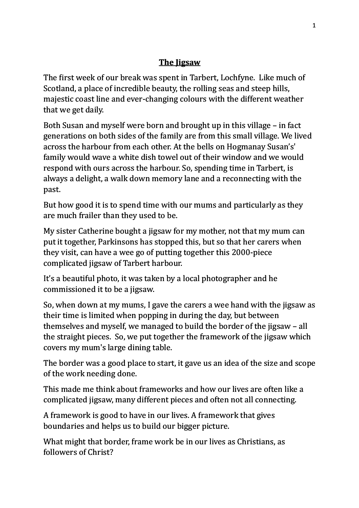## **The Jigsaw**

The first week of our break was spent in Tarbert, Lochfyne. Like much of Scotland, a place of incredible beauty, the rolling seas and steep hills, majestic coast line and ever-changing colours with the different weather that we get daily.

Both Susan and myself were born and brought up in this village – in fact generations on both sides of the family are from this small village. We lived across the harbour from each other. At the bells on Hogmanay Susan's' family would wave a white dish towel out of their window and we would respond with ours across the harbour. So, spending time in Tarbert, is always a delight, a walk down memory lane and a reconnecting with the past.

But how good it is to spend time with our mums and particularly as they are much frailer than they used to be.

My sister Catherine bought a jigsaw for my mother, not that my mum can put it together, Parkinsons has stopped this, but so that her carers when they visit, can have a wee go of putting together this 2000-piece complicated jigsaw of Tarbert harbour.

It's a beautiful photo, it was taken by a local photographer and he commissioned it to be a jigsaw.

So, when down at my mums, I gave the carers a wee hand with the jigsaw as their time is limited when popping in during the day, but between themselves and myself, we managed to build the border of the jigsaw  $-$  all the straight pieces. So, we put together the framework of the jigsaw which covers my mum's large dining table.

The border was a good place to start, it gave us an idea of the size and scope of the work needing done.

This made me think about frameworks and how our lives are often like a complicated jigsaw, many different pieces and often not all connecting.

A framework is good to have in our lives. A framework that gives boundaries and helps us to build our bigger picture.

What might that border, frame work be in our lives as Christians, as followers of Christ?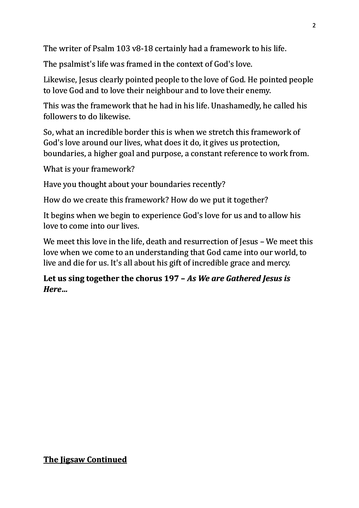The writer of Psalm 103 v8-18 certainly had a framework to his life.

The psalmist's life was framed in the context of God's love.

Likewise, Jesus clearly pointed people to the love of God. He pointed people to love God and to love their neighbour and to love their enemy.

This was the framework that he had in his life. Unashamedly, he called his followers to do likewise.

So, what an incredible border this is when we stretch this framework of God's love around our lives, what does it do, it gives us protection, boundaries, a higher goal and purpose, a constant reference to work from.

What is your framework?

Have you thought about your boundaries recently?

How do we create this framework? How do we put it together?

It begins when we begin to experience God's love for us and to allow his love to come into our lives.

We meet this love in the life, death and resurrection of Jesus – We meet this love when we come to an understanding that God came into our world, to live and die for us. It's all about his gift of incredible grace and mercy.

Let us sing together the chorus 197 – As We are Gathered Jesus is *Here…*

## **The Iigsaw Continued**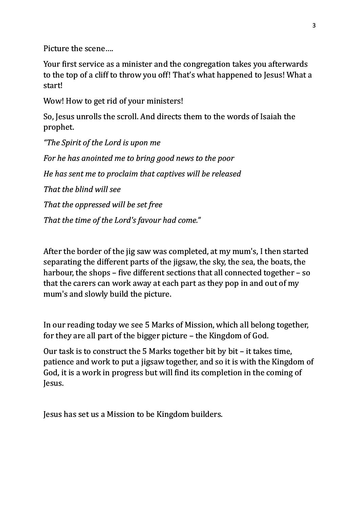Picture the scene....

Your first service as a minister and the congregation takes you afterwards to the top of a cliff to throw you off! That's what happened to Jesus! What a start!

Wow! How to get rid of your ministers!

So, Jesus unrolls the scroll. And directs them to the words of Isaiah the prophet. 

*"The Spirit of the Lord is upon me For he has anointed me to bring good news to the poor He has sent me to proclaim that captives will be released That the blind will see* That the oppressed will be set free That the time of the Lord's favour had come."

After the border of the jig saw was completed, at my mum's, I then started separating the different parts of the jigsaw, the sky, the sea, the boats, the harbour, the shops – five different sections that all connected together – so that the carers can work away at each part as they pop in and out of my mum's and slowly build the picture.

In our reading today we see 5 Marks of Mission, which all belong together, for they are all part of the bigger picture  $-$  the Kingdom of God.

Our task is to construct the 5 Marks together bit by bit  $-$  it takes time, patience and work to put a jigsaw together, and so it is with the Kingdom of God, it is a work in progress but will find its completion in the coming of Jesus.

Jesus has set us a Mission to be Kingdom builders.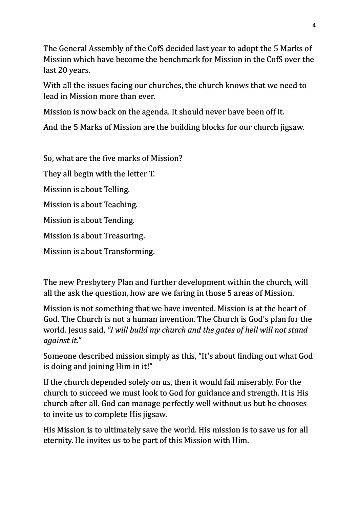The General Assembly of the CofS decided last year to adopt the 5 Marks of Mission which have become the benchmark for Mission in the CofS over the last 20 years.

With all the issues facing our churches, the church knows that we need to lead in Mission more than ever.

Mission is now back on the agenda. It should never have been off it.

And the 5 Marks of Mission are the building blocks for our church jigsaw.

So, what are the five marks of Mission?

They all begin with the letter T.

Mission is about Telling.

Mission is about Teaching.

Mission is about Tending.

Mission is about Treasuring.

Mission is about Transforming.

The new Presbytery Plan and further development within the church, will all the ask the question, how are we faring in those 5 areas of Mission.

Mission is not something that we have invented. Mission is at the heart of God. The Church is not a human invention. The Church is God's plan for the world. Jesus said, *"I will build my church and the gates of hell will not stand against it."*

Someone described mission simply as this, "It's about finding out what God is doing and joining Him in it!"

If the church depended solely on us, then it would fail miserably. For the church to succeed we must look to God for guidance and strength. It is His church after all. God can manage perfectly well without us but he chooses to invite us to complete His jigsaw.

His Mission is to ultimately save the world. His mission is to save us for all eternity. He invites us to be part of this Mission with Him.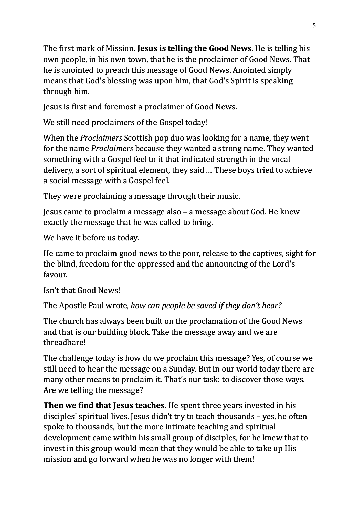The first mark of Mission. **Jesus is telling the Good News**. He is telling his own people, in his own town, that he is the proclaimer of Good News. That he is anointed to preach this message of Good News. Anointed simply means that God's blessing was upon him, that God's Spirit is speaking through him.

Jesus is first and foremost a proclaimer of Good News.

We still need proclaimers of the Gospel today!

When the *Proclaimers* Scottish pop duo was looking for a name, they went for the name *Proclaimers* because they wanted a strong name. They wanted something with a Gospel feel to it that indicated strength in the vocal delivery, a sort of spiritual element, they said.... These boys tried to achieve a social message with a Gospel feel.

They were proclaiming a message through their music.

Jesus came to proclaim a message also – a message about God. He knew exactly the message that he was called to bring.

We have it before us today.

He came to proclaim good news to the poor, release to the captives, sight for the blind, freedom for the oppressed and the announcing of the Lord's favour.

Isn't that Good News!

The Apostle Paul wrote, *how can people be saved if they don't hear?* 

The church has always been built on the proclamation of the Good News and that is our building block. Take the message away and we are threadbare!

The challenge today is how do we proclaim this message? Yes, of course we still need to hear the message on a Sunday. But in our world today there are many other means to proclaim it. That's our task: to discover those ways. Are we telling the message?

**Then we find that Jesus teaches.** He spent three years invested in his disciples' spiritual lives. Jesus didn't try to teach thousands – yes, he often spoke to thousands, but the more intimate teaching and spiritual development came within his small group of disciples, for he knew that to invest in this group would mean that they would be able to take up His mission and go forward when he was no longer with them!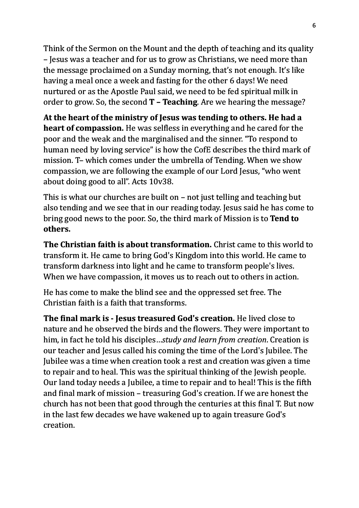Think of the Sermon on the Mount and the depth of teaching and its quality – Jesus was a teacher and for us to grow as Christians, we need more than the message proclaimed on a Sunday morning, that's not enough. It's like having a meal once a week and fasting for the other 6 days! We need nurtured or as the Apostle Paul said, we need to be fed spiritual milk in order to grow. So, the second **T – Teaching**. Are we hearing the message?

At the heart of the ministry of Jesus was tending to others. He had a **heart of compassion.** He was selfless in everything and he cared for the poor and the weak and the marginalised and the sinner. "To respond to human need by loving service" is how the CofE describes the third mark of mission. T- which comes under the umbrella of Tending. When we show compassion, we are following the example of our Lord Jesus, "who went about doing good to all". Acts  $10v38$ .

This is what our churches are built on  $-$  not just telling and teaching but also tending and we see that in our reading today. Jesus said he has come to bring good news to the poor. So, the third mark of Mission is to **Tend to others.**

**The Christian faith is about transformation.** Christ came to this world to transform it. He came to bring God's Kingdom into this world. He came to transform darkness into light and he came to transform people's lives. When we have compassion, it moves us to reach out to others in action.

He has come to make the blind see and the oppressed set free. The Christian faith is a faith that transforms.

**The final mark is - Jesus treasured God's creation.** He lived close to nature and he observed the birds and the flowers. They were important to him, in fact he told his disciples...*study and learn from creation*. Creation is our teacher and Jesus called his coming the time of the Lord's Jubilee. The Jubilee was a time when creation took a rest and creation was given a time to repair and to heal. This was the spiritual thinking of the Jewish people. Our land today needs a Jubilee, a time to repair and to heal! This is the fifth and final mark of mission – treasuring  $God's creation$ . If we are honest the church has not been that good through the centuries at this final T. But now in the last few decades we have wakened up to again treasure God's creation.